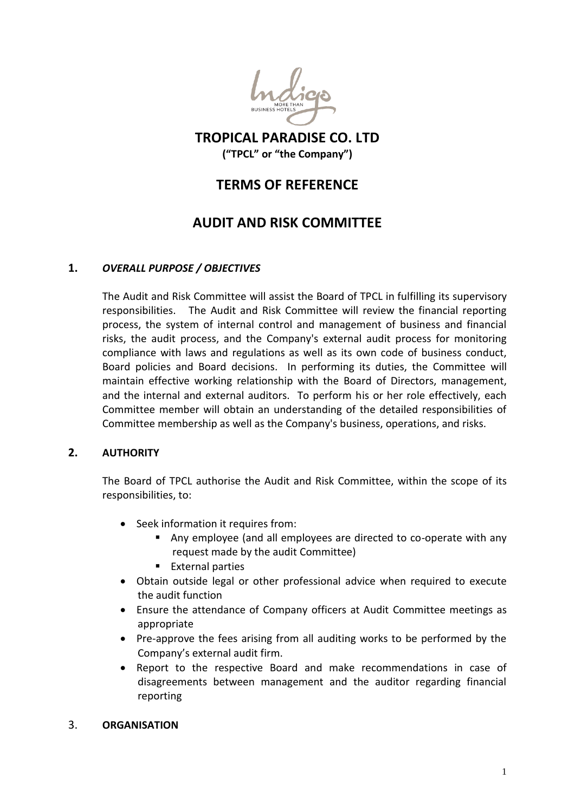

## **TROPICAL PARADISE CO. LTD ("TPCL" or "the Company")**

## **TERMS OF REFERENCE**

# **AUDIT AND RISK COMMITTEE**

## **1.** *OVERALL PURPOSE / OBJECTIVES*

The Audit and Risk Committee will assist the Board of TPCL in fulfilling its supervisory responsibilities. The Audit and Risk Committee will review the financial reporting process, the system of internal control and management of business and financial risks, the audit process, and the Company's external audit process for monitoring compliance with laws and regulations as well as its own code of business conduct, Board policies and Board decisions. In performing its duties, the Committee will maintain effective working relationship with the Board of Directors, management, and the internal and external auditors. To perform his or her role effectively, each Committee member will obtain an understanding of the detailed responsibilities of Committee membership as well as the Company's business, operations, and risks.

## **2. AUTHORITY**

The Board of TPCL authorise the Audit and Risk Committee, within the scope of its responsibilities, to:

- Seek information it requires from:
	- Any employee (and all employees are directed to co-operate with any request made by the audit Committee)
	- **External parties**
- Obtain outside legal or other professional advice when required to execute the audit function
- Ensure the attendance of Company officers at Audit Committee meetings as appropriate
- Pre-approve the fees arising from all auditing works to be performed by the Company's external audit firm.
- Report to the respective Board and make recommendations in case of disagreements between management and the auditor regarding financial reporting

#### 3. **ORGANISATION**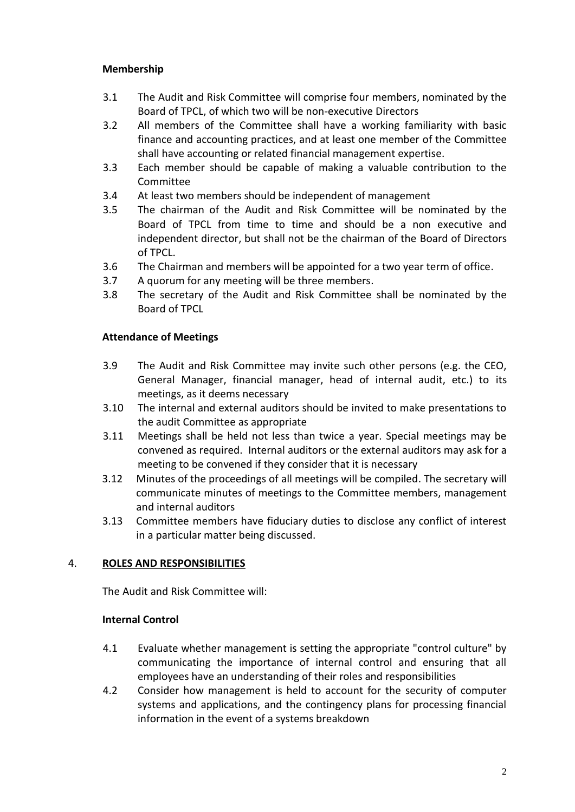## **Membership**

- 3.1 The Audit and Risk Committee will comprise four members, nominated by the Board of TPCL, of which two will be non-executive Directors
- 3.2 All members of the Committee shall have a working familiarity with basic finance and accounting practices, and at least one member of the Committee shall have accounting or related financial management expertise.
- 3.3 Each member should be capable of making a valuable contribution to the Committee
- 3.4 At least two members should be independent of management
- 3.5 The chairman of the Audit and Risk Committee will be nominated by the Board of TPCL from time to time and should be a non executive and independent director, but shall not be the chairman of the Board of Directors of TPCL.
- 3.6 The Chairman and members will be appointed for a two year term of office.
- 3.7 A quorum for any meeting will be three members.
- 3.8 The secretary of the Audit and Risk Committee shall be nominated by the Board of TPCL

## **Attendance of Meetings**

- 3.9 The Audit and Risk Committee may invite such other persons (e.g. the CEO, General Manager, financial manager, head of internal audit, etc.) to its meetings, as it deems necessary
- 3.10 The internal and external auditors should be invited to make presentations to the audit Committee as appropriate
- 3.11 Meetings shall be held not less than twice a year. Special meetings may be convened as required. Internal auditors or the external auditors may ask for a meeting to be convened if they consider that it is necessary
- 3.12 Minutes of the proceedings of all meetings will be compiled. The secretary will communicate minutes of meetings to the Committee members, management and internal auditors
- 3.13 Committee members have fiduciary duties to disclose any conflict of interest in a particular matter being discussed.

## 4. **ROLES AND RESPONSIBILITIES**

The Audit and Risk Committee will:

## **Internal Control**

- 4.1 Evaluate whether management is setting the appropriate "control culture" by communicating the importance of internal control and ensuring that all employees have an understanding of their roles and responsibilities
- 4.2 Consider how management is held to account for the security of computer systems and applications, and the contingency plans for processing financial information in the event of a systems breakdown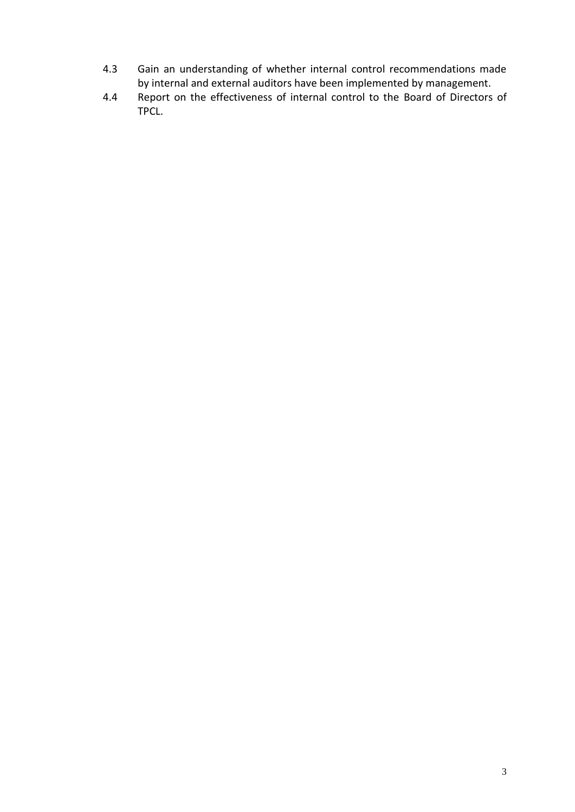- 4.3 Gain an understanding of whether internal control recommendations made by internal and external auditors have been implemented by management.
- 4.4 Report on the effectiveness of internal control to the Board of Directors of TPCL.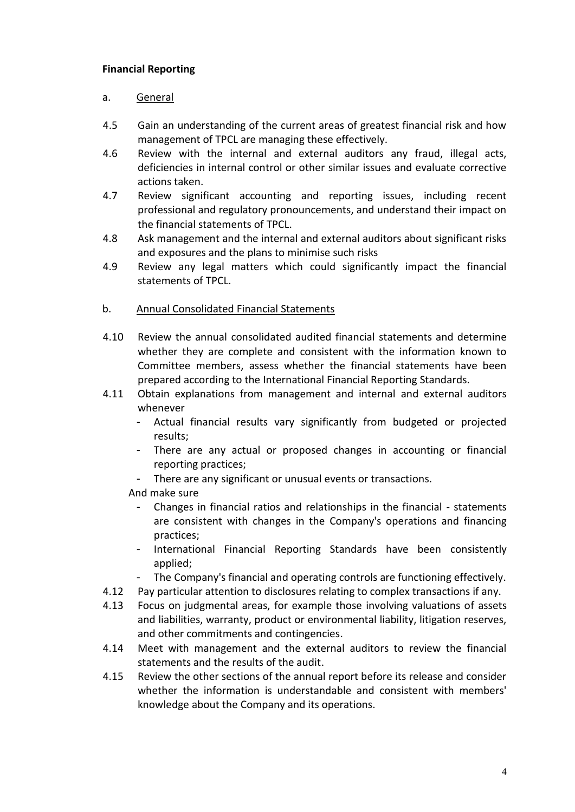## **Financial Reporting**

## a. General

- 4.5 Gain an understanding of the current areas of greatest financial risk and how management of TPCL are managing these effectively.
- 4.6 Review with the internal and external auditors any fraud, illegal acts, deficiencies in internal control or other similar issues and evaluate corrective actions taken.
- 4.7 Review significant accounting and reporting issues, including recent professional and regulatory pronouncements, and understand their impact on the financial statements of TPCL.
- 4.8 Ask management and the internal and external auditors about significant risks and exposures and the plans to minimise such risks
- 4.9 Review any legal matters which could significantly impact the financial statements of TPCL.

#### b. Annual Consolidated Financial Statements

- 4.10 Review the annual consolidated audited financial statements and determine whether they are complete and consistent with the information known to Committee members, assess whether the financial statements have been prepared according to the International Financial Reporting Standards.
- 4.11 Obtain explanations from management and internal and external auditors whenever
	- Actual financial results vary significantly from budgeted or projected results;
	- There are any actual or proposed changes in accounting or financial reporting practices;
	- There are any significant or unusual events or transactions.

## And make sure

- Changes in financial ratios and relationships in the financial statements are consistent with changes in the Company's operations and financing practices;
- International Financial Reporting Standards have been consistently applied;
- The Company's financial and operating controls are functioning effectively.
- 4.12 Pay particular attention to disclosures relating to complex transactions if any.
- 4.13 Focus on judgmental areas, for example those involving valuations of assets and liabilities, warranty, product or environmental liability, litigation reserves, and other commitments and contingencies.
- 4.14 Meet with management and the external auditors to review the financial statements and the results of the audit.
- 4.15 Review the other sections of the annual report before its release and consider whether the information is understandable and consistent with members' knowledge about the Company and its operations.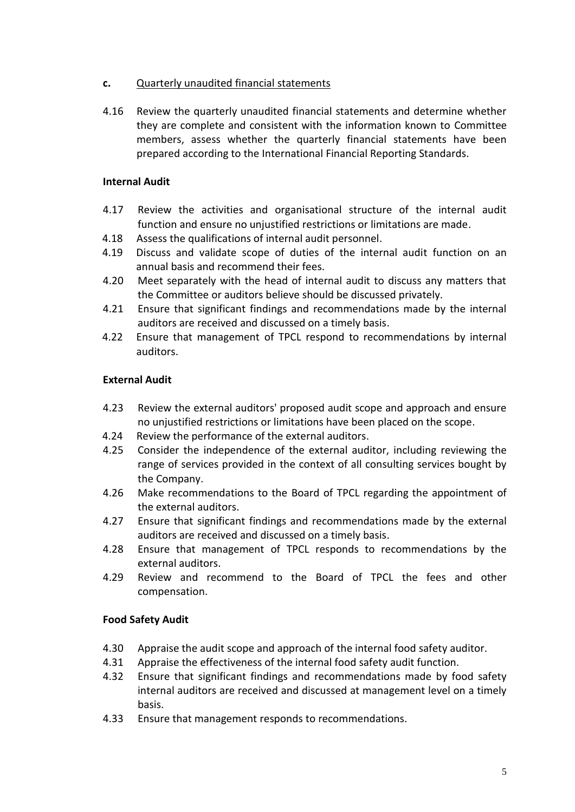## **c.** Quarterly unaudited financial statements

4.16 Review the quarterly unaudited financial statements and determine whether they are complete and consistent with the information known to Committee members, assess whether the quarterly financial statements have been prepared according to the International Financial Reporting Standards.

#### **Internal Audit**

- 4.17 Review the activities and organisational structure of the internal audit function and ensure no unjustified restrictions or limitations are made.
- 4.18 Assess the qualifications of internal audit personnel.
- 4.19 Discuss and validate scope of duties of the internal audit function on an annual basis and recommend their fees.
- 4.20 Meet separately with the head of internal audit to discuss any matters that the Committee or auditors believe should be discussed privately.
- 4.21 Ensure that significant findings and recommendations made by the internal auditors are received and discussed on a timely basis.
- 4.22 Ensure that management of TPCL respond to recommendations by internal auditors.

#### **External Audit**

- 4.23 Review the external auditors' proposed audit scope and approach and ensure no unjustified restrictions or limitations have been placed on the scope.
- 4.24 Review the performance of the external auditors.
- 4.25 Consider the independence of the external auditor, including reviewing the range of services provided in the context of all consulting services bought by the Company.
- 4.26 Make recommendations to the Board of TPCL regarding the appointment of the external auditors.
- 4.27 Ensure that significant findings and recommendations made by the external auditors are received and discussed on a timely basis.
- 4.28 Ensure that management of TPCL responds to recommendations by the external auditors.
- 4.29 Review and recommend to the Board of TPCL the fees and other compensation.

#### **Food Safety Audit**

- 4.30 Appraise the audit scope and approach of the internal food safety auditor.
- 4.31 Appraise the effectiveness of the internal food safety audit function.
- 4.32 Ensure that significant findings and recommendations made by food safety internal auditors are received and discussed at management level on a timely basis.
- 4.33 Ensure that management responds to recommendations.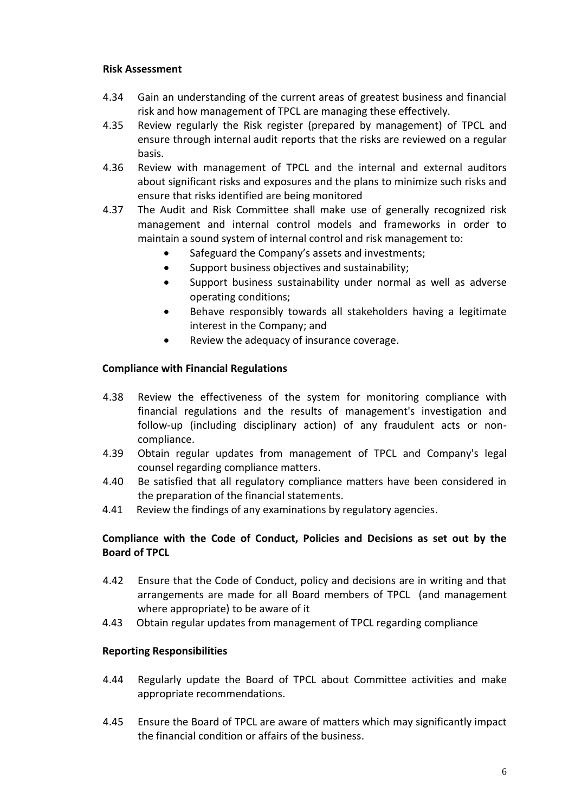#### **Risk Assessment**

- 4.34 Gain an understanding of the current areas of greatest business and financial risk and how management of TPCL are managing these effectively.
- 4.35 Review regularly the Risk register (prepared by management) of TPCL and ensure through internal audit reports that the risks are reviewed on a regular basis.
- 4.36 Review with management of TPCL and the internal and external auditors about significant risks and exposures and the plans to minimize such risks and ensure that risks identified are being monitored
- 4.37 The Audit and Risk Committee shall make use of generally recognized risk management and internal control models and frameworks in order to maintain a sound system of internal control and risk management to:
	- Safeguard the Company's assets and investments;
	- Support business objectives and sustainability;
	- Support business sustainability under normal as well as adverse operating conditions;
	- Behave responsibly towards all stakeholders having a legitimate interest in the Company; and
	- Review the adequacy of insurance coverage.

#### **Compliance with Financial Regulations**

- 4.38 Review the effectiveness of the system for monitoring compliance with financial regulations and the results of management's investigation and follow-up (including disciplinary action) of any fraudulent acts or noncompliance.
- 4.39 Obtain regular updates from management of TPCL and Company's legal counsel regarding compliance matters.
- 4.40 Be satisfied that all regulatory compliance matters have been considered in the preparation of the financial statements.
- 4.41 Review the findings of any examinations by regulatory agencies.

## **Compliance with the Code of Conduct, Policies and Decisions as set out by the Board of TPCL**

- 4.42 Ensure that the Code of Conduct, policy and decisions are in writing and that arrangements are made for all Board members of TPCL (and management where appropriate) to be aware of it
- 4.43 Obtain regular updates from management of TPCL regarding compliance

## **Reporting Responsibilities**

- 4.44 Regularly update the Board of TPCL about Committee activities and make appropriate recommendations.
- 4.45 Ensure the Board of TPCL are aware of matters which may significantly impact the financial condition or affairs of the business.